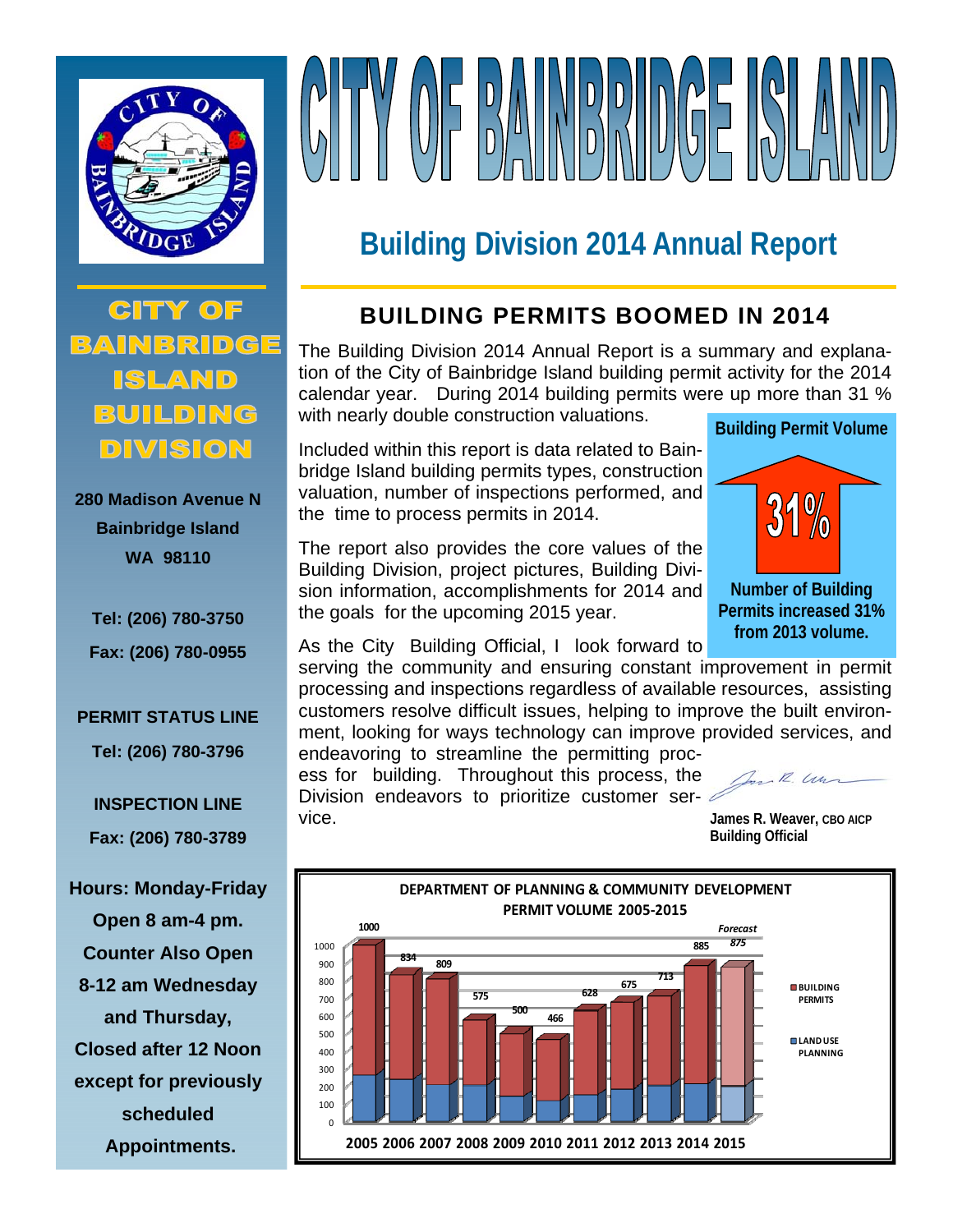

# VOEDAUNDDINGE S

## **Building Division 2014 Annual Report**

**CITY OF** BAINBRIDGE ISLAND DIVISION

**280 Madison Avenue N Bainbridge Island WA 98110** 

**Tel: (206) 780-3750 Fax: (206) 780-0955** 

#### **PERMIT STATUS LINE**

**Tel: (206) 780-3796** 

**INSPECTION LINE Fax: (206) 780-3789** 

**Hours: Monday-Friday Open 8 am-4 pm. Counter Also Open 8-12 am Wednesday and Thursday, Closed after 12 Noon except for previously scheduled Appointments.** 

### **BUILDING PERMITS BOOMED IN 2014**

The Building Division 2014 Annual Report is a summary and explanation of the City of Bainbridge Island building permit activity for the 2014 calendar year. During 2014 building permits were up more than 31 % with nearly double construction valuations.

Included within this report is data related to Bainbridge Island building permits types, construction valuation, number of inspections performed, and the time to process permits in 2014.

The report also provides the core values of the Building Division, project pictures, Building Division information, accomplishments for 2014 and the goals for the upcoming 2015 year.



As the City Building Official, I look forward to

serving the community and ensuring constant improvement in permit processing and inspections regardless of available resources, assisting customers resolve difficult issues, helping to improve the built environment, looking for ways technology can improve provided services, and endeavoring to streamline the permitting proc-

ess for building. Throughout this process, the Division endeavors to prioritize customer service. **James R. Weaver, CBO AICP**

Dan R. Un

**Building Official** 

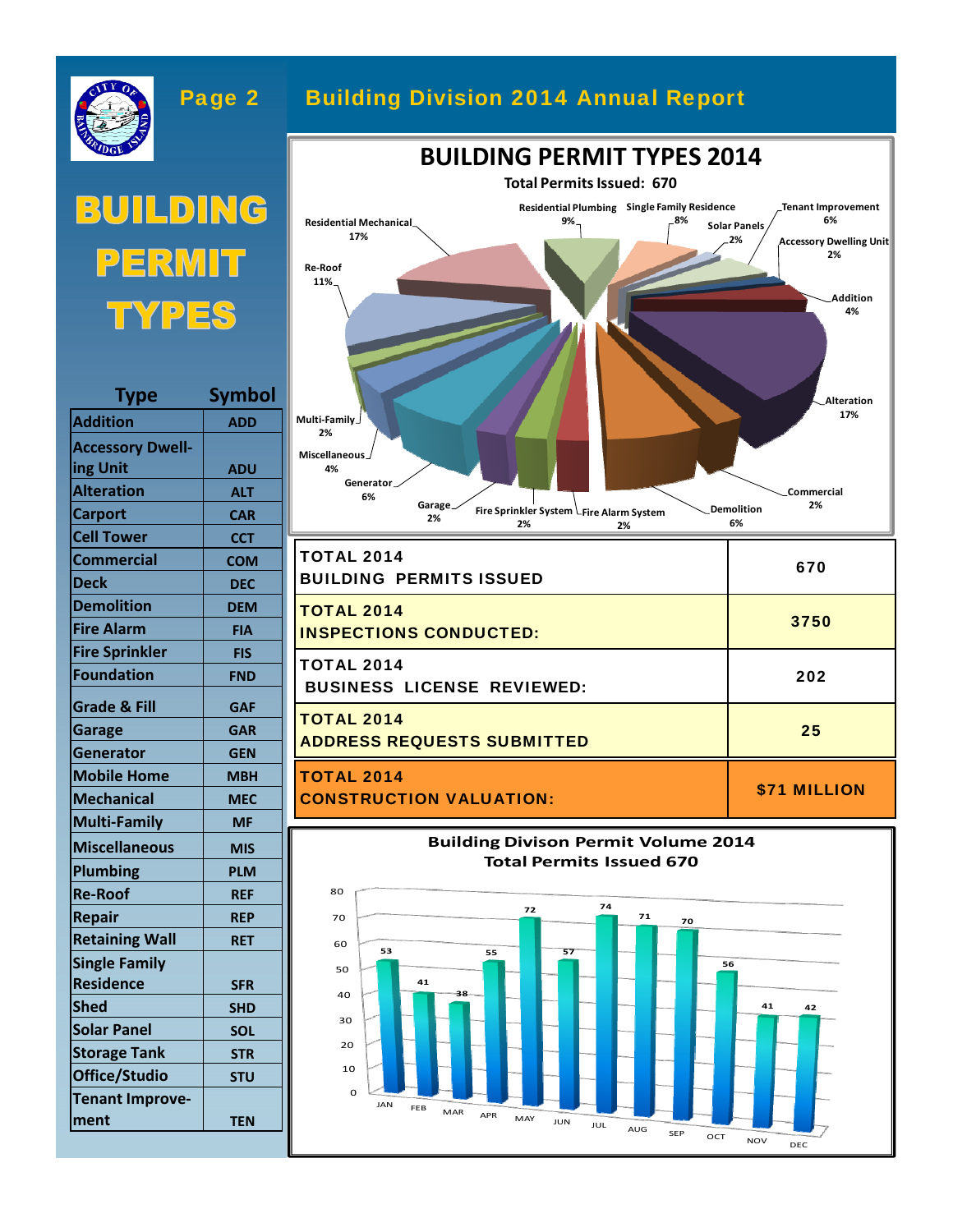

**Tenant Improve‐**

**ment TEN**

#### Page 2 Building Division 2014 Annual Report





**BUILDING PERMIT TYPES 2014**



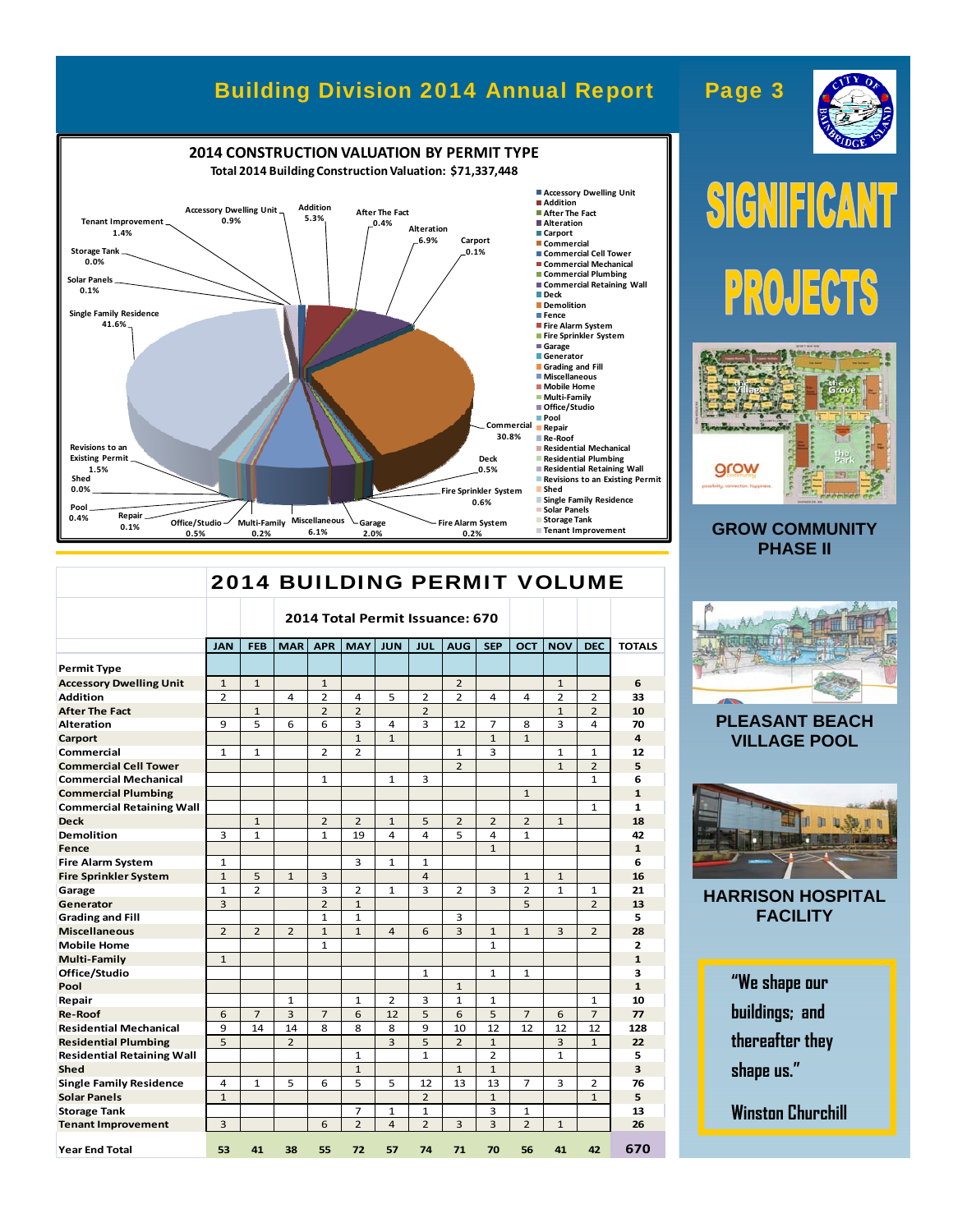#### Building Division 2014 Annual Report Page 3



|                                   | <b>2014 BUILDING PERMIT VOLUME</b> |                |                                 |                |                |                         |                |                |                |                |                |                |                |
|-----------------------------------|------------------------------------|----------------|---------------------------------|----------------|----------------|-------------------------|----------------|----------------|----------------|----------------|----------------|----------------|----------------|
|                                   |                                    |                | 2014 Total Permit Issuance: 670 |                |                |                         |                |                |                |                |                |                |                |
|                                   | <b>JAN</b>                         | <b>FEB</b>     | <b>MAR</b>                      | <b>APR</b>     | <b>MAY</b>     | <b>JUN</b>              | JUL            | <b>AUG</b>     | <b>SEP</b>     | <b>OCT</b>     | <b>NOV</b>     | <b>DEC</b>     | <b>TOTALS</b>  |
| <b>Permit Type</b>                |                                    |                |                                 |                |                |                         |                |                |                |                |                |                |                |
| <b>Accessory Dwelling Unit</b>    | $\mathbf{1}$                       | $\mathbf{1}$   |                                 | $\mathbf{1}$   |                |                         |                | $\overline{2}$ |                |                | $\mathbf{1}$   |                | 6              |
| <b>Addition</b>                   | $\overline{2}$                     |                | 4                               | 2              | 4              | 5                       | 2              | $\overline{2}$ | 4              | 4              | $\overline{2}$ | 2              | 33             |
| <b>After The Fact</b>             |                                    | $\mathbf{1}$   |                                 | $\overline{2}$ | $\overline{2}$ |                         | $\overline{2}$ |                |                |                | $\mathbf{1}$   | $\overline{2}$ | 10             |
| <b>Alteration</b>                 | 9                                  | 5              | 6                               | 6              | 3              | 4                       | 3              | 12             | 7              | 8              | 3              | 4              | 70             |
| Carport                           |                                    |                |                                 |                | $\mathbf{1}$   | $\mathbf{1}$            |                |                | $\mathbf{1}$   | $\mathbf{1}$   |                |                | $\overline{a}$ |
| Commercial                        | $\mathbf{1}$                       | $\mathbf{1}$   |                                 | $\overline{2}$ | $\overline{2}$ |                         |                | $\mathbf{1}$   | 3              |                | $\mathbf{1}$   | $\mathbf{1}$   | 12             |
| <b>Commercial Cell Tower</b>      |                                    |                |                                 |                |                |                         |                | $\overline{2}$ |                |                | $\mathbf{1}$   | $\overline{2}$ | 5              |
| <b>Commercial Mechanical</b>      |                                    |                |                                 | 1              |                | 1                       | 3              |                |                |                |                | $\mathbf{1}$   | 6              |
| <b>Commercial Plumbing</b>        |                                    |                |                                 |                |                |                         |                |                |                | $\mathbf{1}$   |                |                | $\mathbf{1}$   |
| <b>Commercial Retaining Wall</b>  |                                    |                |                                 |                |                |                         |                |                |                |                |                | $\mathbf{1}$   | 1              |
| <b>Deck</b>                       |                                    | $\mathbf{1}$   |                                 | 2              | 2              | $\mathbf{1}$            | 5              | 2              | 2              | 2              | $\mathbf{1}$   |                | 18             |
| <b>Demolition</b>                 | 3                                  | $\mathbf{1}$   |                                 | $\mathbf{1}$   | 19             | 4                       | 4              | 5              | 4              | $\mathbf{1}$   |                |                | 42             |
| Fence                             |                                    |                |                                 |                |                |                         |                |                | $\mathbf{1}$   |                |                |                | $\mathbf{1}$   |
| <b>Fire Alarm System</b>          | $\mathbf{1}$                       |                |                                 |                | 3              | $\mathbf{1}$            | $\mathbf{1}$   |                |                |                |                |                | 6              |
| <b>Fire Sprinkler System</b>      | $\mathbf{1}$                       | 5              | $\mathbf{1}$                    | 3              |                |                         | $\overline{4}$ |                |                | $\mathbf{1}$   | $\mathbf{1}$   |                | 16             |
| Garage                            | $\mathbf{1}$                       | $\overline{2}$ |                                 | 3              | $\overline{2}$ | $\mathbf{1}$            | 3              | $\overline{2}$ | 3              | $\overline{2}$ | $\mathbf{1}$   | $\mathbf{1}$   | 21             |
| Generator                         | 3                                  |                |                                 | $\overline{2}$ | $\mathbf{1}$   |                         |                |                |                | 5              |                | $\overline{2}$ | 13             |
| <b>Grading and Fill</b>           |                                    |                |                                 | $\mathbf{1}$   | $\mathbf{1}$   |                         |                | 3              |                |                |                |                | 5              |
| <b>Miscellaneous</b>              | $\overline{2}$                     | $\overline{2}$ | $\overline{2}$                  | $\mathbf{1}$   | $\mathbf{1}$   | $\overline{a}$          | 6              | 3              | $\mathbf{1}$   | $\mathbf{1}$   | 3              | $\overline{2}$ | 28             |
| <b>Mobile Home</b>                |                                    |                |                                 | $\mathbf{1}$   |                |                         |                |                | $\mathbf{1}$   |                |                |                | 2              |
| <b>Multi-Family</b>               | $\mathbf{1}$                       |                |                                 |                |                |                         |                |                |                |                |                |                | $\mathbf{1}$   |
| Office/Studio                     |                                    |                |                                 |                |                |                         | $\mathbf{1}$   |                | $\mathbf{1}$   | $\mathbf{1}$   |                |                | з              |
| Pool                              |                                    |                |                                 |                |                |                         |                | $\mathbf{1}$   |                |                |                |                | $\mathbf{1}$   |
| Repair                            |                                    |                | 1                               |                | 1              | 2                       | 3              | $\mathbf{1}$   | $\mathbf{1}$   |                |                | $\mathbf{1}$   | 10             |
| <b>Re-Roof</b>                    | 6                                  | $\overline{7}$ | 3                               | $\overline{7}$ | 6              | 12                      | 5              | 6              | 5              | $\overline{7}$ | 6              | $\overline{7}$ | 77             |
| <b>Residential Mechanical</b>     | 9                                  | 14             | 14                              | 8              | 8              | 8                       | 9              | 10             | 12             | 12             | 12             | 12             | 128            |
| <b>Residential Plumbing</b>       | 5                                  |                | $\overline{2}$                  |                |                | $\overline{3}$          | 5              | $\overline{2}$ | $\mathbf{1}$   |                | 3              | $\mathbf{1}$   | 22             |
| <b>Residential Retaining Wall</b> |                                    |                |                                 |                | 1              |                         | $\mathbf{1}$   |                | $\overline{2}$ |                | $\mathbf{1}$   |                | 5              |
| Shed                              |                                    |                |                                 |                | $\mathbf{1}$   |                         |                | $\mathbf{1}$   | $\mathbf{1}$   |                |                |                | 3              |
| <b>Single Family Residence</b>    | 4                                  | $\mathbf{1}$   | 5                               | 6              | 5              | 5                       | 12             | 13             | 13             | 7              | 3              | 2              | 76             |
| <b>Solar Panels</b>               | $\mathbf{1}$                       |                |                                 |                |                |                         | $\overline{2}$ |                | $\mathbf{1}$   |                |                | $\mathbf{1}$   | 5              |
| <b>Storage Tank</b>               |                                    |                |                                 |                | 7              | $\mathbf{1}$            | $\mathbf{1}$   |                | 3              | 1              |                |                | 13             |
| <b>Tenant Improvement</b>         | $\overline{3}$                     |                |                                 | 6              | $\overline{2}$ | $\overline{\mathbf{A}}$ | $\overline{2}$ | 3              | $\overline{3}$ | $\overline{2}$ | $\mathbf{1}$   |                | 26             |
| <b>Year End Total</b>             | 53                                 | 41             | 38                              | 55             | 72             | 57                      | 74             | 71             | 70             | 56             | 41             | 42             | 670            |

## IFI  $S$  $G$ <sup> $N$ </sup>  $\Omega$ PROJECTS



#### **GROW COMMUNITY PHASE II**



#### **PLEASANT BEACH VILLAGE POOL**



**HARRISON HOSPITAL FACILITY** 

> **"We shape our buildings; and thereafter they shape us."**

**Winston Churchill**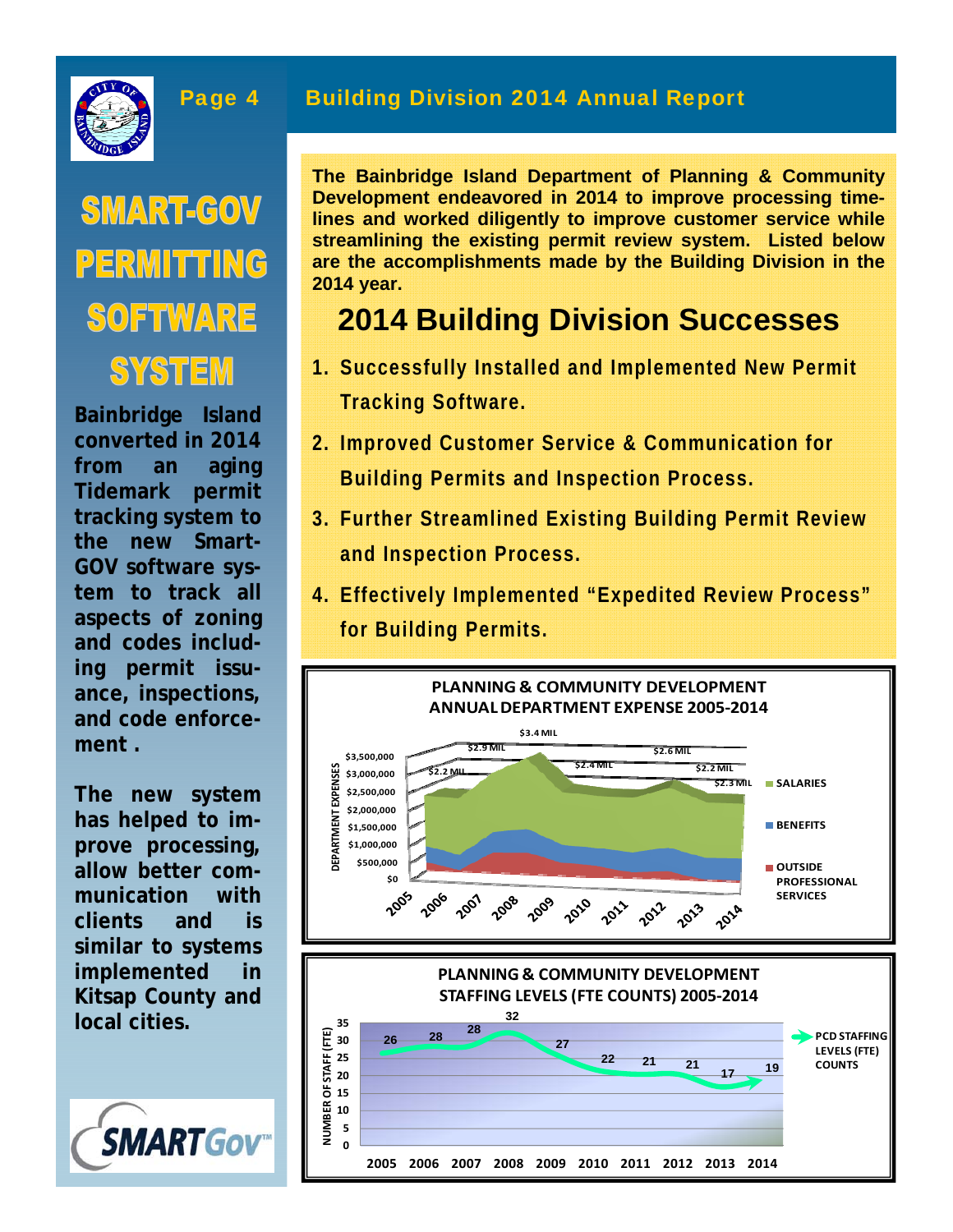

## **SMART-GOV** PERMITTING SOFTWARE **SYSTEM**

**Bainbridge Island converted in 2014 from an aging Tidemark permit tracking system to the new Smart-GOV software system to track all aspects of zoning and codes including permit issuance, inspections, and code enforcement .** 

**The new system has helped to improve processing, allow better communication with clients and is similar to systems implemented in Kitsap County and local cities.** 



#### Page 4 Building Division 2014 Annual Report

**The Bainbridge Island Department of Planning & Community Development endeavored in 2014 to improve processing timelines and worked diligently to improve customer service while streamlining the existing permit review system. Listed below are the accomplishments made by the Building Division in the 2014 year.** 

## **2014 Building Division Successes**

- **1. Successfully Installed and Implemented New Permit Tracking Software.**
- **2. Improved Customer Service & Communication for Building Permits and Inspection Process.**
- **3. Further Streamlined Existing Building Permit Review and Inspection Process.**
- **4. Effectively Implemented "Expedited Review Process" for Building Permits.**

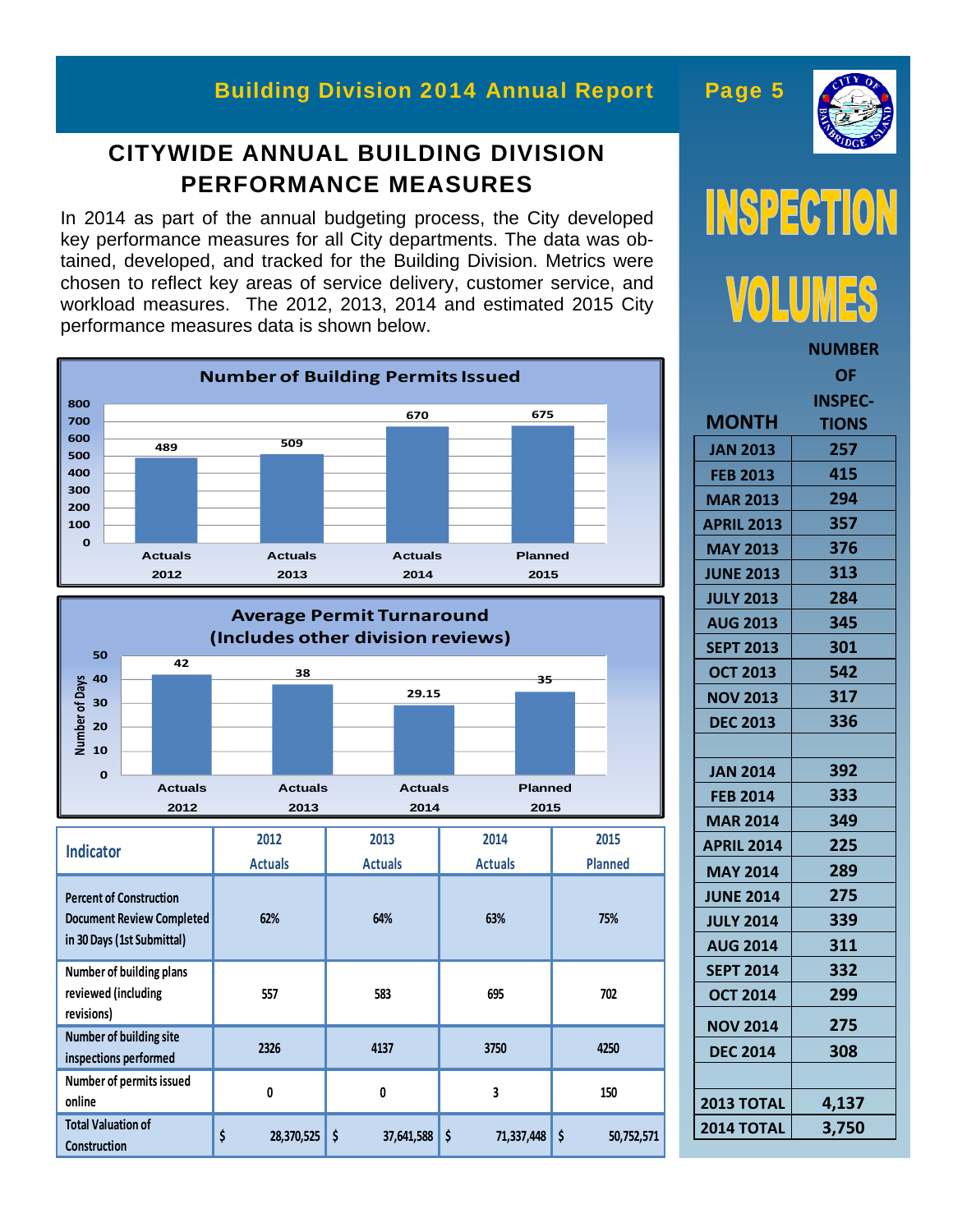#### Building Division 2014 Annual Report Page 5

#### **CITYWIDE ANNUAL BUILDING DIVISION PERFORMANCE MEASURES**

In 2014 as part of the annual budgeting process, the City developed key performance measures for all City departments. The data was obtained, developed, and tracked for the Building Division. Metrics were chosen to reflect key areas of service delivery, customer service, and workload measures. The 2012, 2013, 2014 and estimated 2015 City performance measures data is shown below.







|                   | <b>NUMBER</b> |
|-------------------|---------------|
|                   | ΟF            |
|                   | INSPEC-       |
| <b>MONTH</b>      | TIONS         |
| <b>JAN 2013</b>   | 257           |
| <b>FEB 2013</b>   | 415           |
| <b>MAR 2013</b>   | 294           |
| <b>APRIL 2013</b> | 357           |
| <b>MAY 2013</b>   | 376           |
| <b>JUNE 2013</b>  | 313           |
| <b>JULY 2013</b>  | 284           |
| <b>AUG 2013</b>   | 345           |
| <b>SEPT 2013</b>  | 301           |
| <b>OCT 2013</b>   | 542           |
| <b>NOV 2013</b>   | 317           |
| <b>DEC 2013</b>   | 336           |
|                   |               |
| <b>JAN 2014</b>   | 392           |
| <b>FEB 2014</b>   | 333           |
| <b>MAR 2014</b>   | 349           |
| APRIL 2014        | 225           |
| <b>MAY 2014</b>   | 289           |
| <b>JUNE 2014</b>  | 275           |
| <b>JULY 2014</b>  | 339           |
| <b>AUG 2014</b>   | 311           |
| <b>SEPT 2014</b>  | 332           |
| <b>OCT 2014</b>   | 299           |
| <b>NOV 2014</b>   | 275           |
| <b>DEC 2014</b>   | 308           |
|                   |               |
| <b>2013 TOTAL</b> | 4,137         |
| <b>2014 TOTAL</b> | 3,750         |